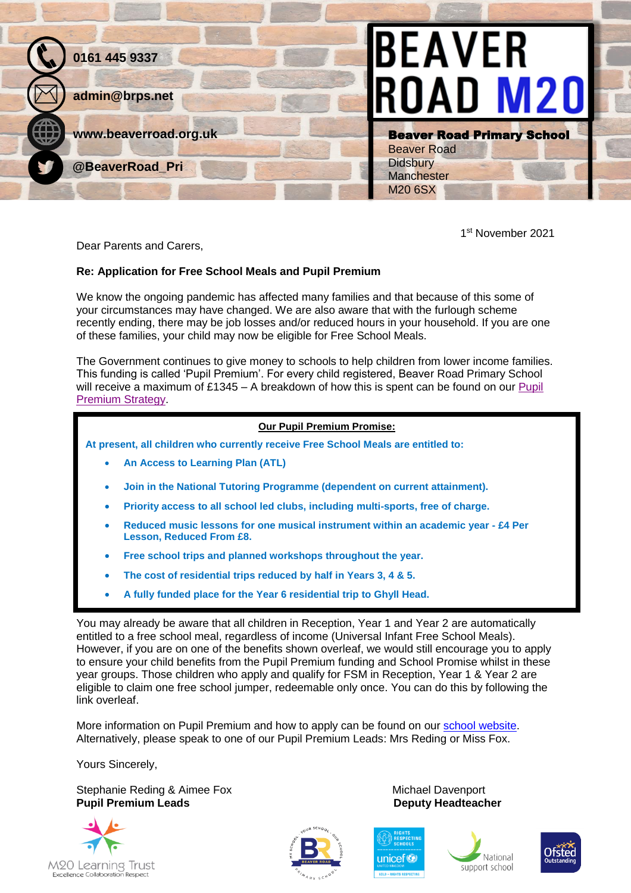

1 st November 2021

Dear Parents and Carers,

## **Re: Application for Free School Meals and Pupil Premium**

We know the ongoing pandemic has affected many families and that because of this some of your circumstances may have changed. We are also aware that with the furlough scheme recently ending, there may be job losses and/or reduced hours in your household. If you are one of these families, your child may now be eligible for Free School Meals.

The Government continues to give money to schools to help children from lower income families. This funding is called 'Pupil Premium'. For every child registered, Beaver Road Primary School will receive a maximum of £1345 – A breakdown of how this is spent can be found on our Pupil [Premium Strategy.](https://www.beaverroad.org.uk/serve_file/3455098)

## **Our Pupil Premium Promise:**

**At present, all children who currently receive Free School Meals are entitled to:**

- **An Access to Learning Plan (ATL)**
- **Join in the National Tutoring Programme (dependent on current attainment).**
- **Priority access to all school led clubs, including multi-sports, free of charge.**
- **Reduced music lessons for one musical instrument within an academic year - £4 Per Lesson, Reduced From £8.**
- **Free school trips and planned workshops throughout the year.**
- **The cost of residential trips reduced by half in Years 3, 4 & 5.**
- **A fully funded place for the Year 6 residential trip to Ghyll Head.**

You may already be aware that all children in Reception, Year 1 and Year 2 are automatically entitled to a free school meal, regardless of income (Universal Infant Free School Meals). However, if you are on one of the benefits shown overleaf, we would still encourage you to apply to ensure your child benefits from the Pupil Premium funding and School Promise whilst in these year groups. Those children who apply and qualify for FSM in Reception, Year 1 & Year 2 are eligible to claim one free school jumper, redeemable only once. You can do this by following the link overleaf.

More information on Pupil Premium and how to apply can be found on our [school website.](https://www.beaverroad.org.uk/page/pupil-premium/54105) Alternatively, please speak to one of our Pupil Premium Leads: Mrs Reding or Miss Fox.

Yours Sincerely,

Stephanie Reding & Aimee Fox Michael Davenport **Pupil Premium Leads Contract Contract Contract Contract Pupil Premium Leads Contract Contract Contract Pupil Premium Deputy Headteacher**